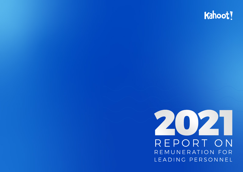# Kahoot!



REPORT ON REMUNERATION FOR LEADING PERSONNEL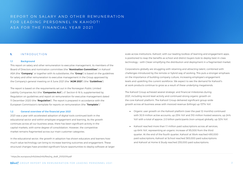# REPORT ON SALARY AND OTHER REMUNERATION FOR LEADING PERSONNEL IN KAHOOT! ASA FOR THE FINANCIAL YEAR 2021

# 1. INTRODUCTION

#### **1.1 Background**

This report on salary and other remuneration to executive management, its members of the Board of Directors and nomination committee (the "**Nomination Committee**") in Kahoot! ASA (the "**Company**" or together with its subsidiaries, the "**Group**") is based on the guidelines for salary and other remuneration to executive management in the Group approved by the Company's general meeting on 8 June 2021 (the "**AGM 2021**") (the "**Guidelines**").

The report is based on the requirements set out in the Norwegian Public Limited Liability Companies Act (the "**Companies Act**"), cf. Section 6-16 b, supplemented by Regulation on guidelines and report on remuneration for executive management dated 11 December 2020 (the "**Regulation**"). The report is prepared in accordance with the European Commission's template for reports on remuneration (the "**Template**").1

#### **1.2 General overview of the financial year 2021**

2021 was a year with accelerated adoption of digital tools continued both in the educational sector and within employee engagement and learning. As the growth continues across all our business areas, there has been significant activity in the capital markets, with some degree of consolidation. However, the competitive market remains fragmented across our main customer categories.

In the educational sector, the growth in adoption has shown educators and learners how much value technology can bring to increase learning outcomes and engagement. These structural changes have provided significant future opportunities to deploy software at larger scale across institutions. Kahoot!, with our leading toolbox of learning and engagement apps, is positioned to reap the benefits as school and district buyers look to deploy best-in-class technology – with Clever simplifying the distribution and deployment in a fragmented market.

Corporations globally are struggling with retaining and attracting talent, combined with challenges introduced by the remote or hybrid way of working. This puts a stronger emphasis on the importance of building company culture, increasing employee's engagement levels and upskilling the current workforce. We expect to see the demand for Kahoot!'s at work products continue to grow as a result of these underlying megatrends.

The Kahoot! Group achieved several strategic and financial milestones during 2021, including record-level activity and continued strong organic growth on the core Kahoot! platform. The Kahoot! Group delivered significant group-wide growth across all business areas with invoiced revenue (billings) up 137% YoY.

- ▶ Organic user growth on the Kahoot! platform (over the past 12 months) continued with 30.9 million active accounts, up 25% YoY and 310 million hosted sessions, up 24% YoY with a total of approx. 2.0 billion participants (non-unique) globally, up 32% YoY.
- Kahoot! reached more than 1.1 million paid subscriptions across all services, up 64% YoY, representing an organic increase of 95,000 from the third quarter. At the end of the fourth quarter, Kahoot! at Work reached 490,000 paid subscriptions, Kahoot! at School reached 365,000 paid subscriptions and Kahoot! at Home & Study reached 255,000 paid subscriptions.

<sup>1</sup> https://ec.europa.eu/info/sites/info/files/rrg\_draft\_21012019.pdf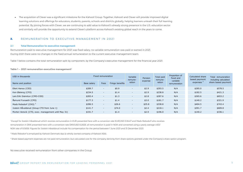▶ The acquisition of Clever was a significant milestone for the Kahoot! Group. Together, Kahoot! and Clever will provide improved digital learning solutions and offerings for educators, students, parents, schools and districts globally, helping learners unleash their full learning potential. By joining forces with Clever, we are continuing to add value to Kahoot!'s already strong presence in the U.S. education sector and similarly will provide the opportunity to extend Clever's platform across Kahoot!'s existing global reach in the years to come.

### 2. REMUNERATION TO EXECUTIVE MANAGEMENT IN 2021

#### **2.1 Total Remuneration to executive management**

Remuneration paid to executive management for 2021 was fixed salary, no variable remuneration was paid or earned in 2021. During 2021 there were no changes in the fixed annual remuneration to the current executive management team.

Table 1 below contains the total remuneration split by component, by the Company's executive management for the financial year 2021.

#### Table 1 - 2021 remuneration executive management<sup>1</sup>

| USD in thousands                                    | Fixed remuneration |        | Variable<br>remune- | Pension                  | Total paid<br>remune- | Proportion of<br>fixed and | Calculated share<br>based payment | Total remuneration<br>including calculated |                     |
|-----------------------------------------------------|--------------------|--------|---------------------|--------------------------|-----------------------|----------------------------|-----------------------------------|--------------------------------------------|---------------------|
| Name and position                                   | Base salary        | Fees   | Fringe benefits     | ration                   | expense               | ration                     | variable<br>remuneration          | expenses                                   | share based payment |
| Eilert Hanoa (CEO)                                  | \$289.7            | $\sim$ | \$0.9               | $\overline{\phantom{a}}$ | \$2.9                 | \$293.5                    | N/A                               | \$285.0                                    | \$578.5             |
| Ken Østreng (CFO)                                   | \$234.5            | $\sim$ | \$1.4               | $\overline{\phantom{a}}$ | \$2.9                 | \$238.8                    | N/A                               | \$182.5                                    | \$421.3             |
| Lars Erik Grønntun (CMO-COO)                        | \$283.4            | $\sim$ | \$1.3               | $\sim$                   | \$2.8                 | \$287.6                    | N/A                               | \$365.6                                    | \$653.2             |
| Åsmund Furuseth (CPO)                               | \$177.3            | $\sim$ | \$1.4               | $\overline{\phantom{0}}$ | \$3.0                 | \$181.7                    | N/A                               | \$140.2                                    | \$321.9             |
| Mads Rebsdorf (CRO) <sup>2</sup>                    | \$286.5            | $\sim$ | \$26.6              | $\overline{\phantom{0}}$ | \$25.8                | \$338.8                    | N/A                               | \$404.5                                    | \$743.4             |
| Jostein Håvaldsrud (Group CTO from June 1)          | \$141.7            | $\sim$ | \$74.0              | $\overline{\phantom{0}}$ | \$2.4                 | \$218.1                    | N/A                               | \$391.7                                    | \$609.8             |
| Morten Versvik (CTO, exec. management until May 31) | \$191.7            | $\sim$ | \$1.4               | $\overline{\phantom{0}}$ | \$2.9                 | \$196.0                    | N/A                               | \$140.2                                    | \$336.1             |

1 Except for Jostein Håvaldsrud which receives remuneration in EUR presented here with a conversion rate EUR/USD 0.8447 and Mads Rebsdorf who receives

remuneration in DKK presented here with a conversion rate DKK/USD 6.2828, all remuneration is paid in NOK and converted using a yearly average USD/

NOK rate of 8.5859. Figures for Jostein Håvaldsrud include his compensation for the period between 1 June 2021 and 31 December 2021.

2 Mads Rebsdorf is employed by Kahoot! Denmark Aps (a wholly owned company of Kahoot! ASA).

<sup>3</sup> Share based payment expenses are not paid remuneration, but calculated cost for the company deriving from share options granted under the Company's share option program.

No executive received remuneration from other companies in the Group.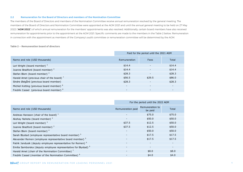#### **2.2 Remuneration for the Board of Directors and members of the Nomination Committee**

The members of the Board of Directors and members of the Nomination Committee receive annual remuneration resolved by the general meeting. The members of the Board of Directors and Nomination Committee were appointed at the AGM 2021 and until the annual general meeting to be held on 27 May 2022 ("**AGM 2022**") of which annual remuneration for the members' appointments was also resolved. Additionally, certain board members have also received remuneration for appointments prior to the appointment at the AGM 2021. Specific comments are made to the members in the Table 2 below. Remuneration in connection with the appointment as members of the Company's audit committee or remuneration committee will be determined by the AGM.

#### **Table 2 — Remuneration board of directors**

|                                                         | Paid for the period until the 2021 AGM |                          |                          |  |  |  |
|---------------------------------------------------------|----------------------------------------|--------------------------|--------------------------|--|--|--|
| Name and role (USD thousands)                           | Remuneration                           | Fees                     | Total                    |  |  |  |
| Lori Wright (board member) <sup>3</sup>                 | \$14.4                                 |                          | \$14.4                   |  |  |  |
| Joanne Bradford (board member) <sup>3</sup>             | \$14.4                                 | $\overline{\phantom{a}}$ | \$14.4                   |  |  |  |
| Stefan Blom (board member) <sup>4</sup>                 | \$28.3                                 | $\overline{\phantom{a}}$ | \$28.3                   |  |  |  |
| Harald Arnet (previous chair of the board) <sup>7</sup> | \$56.5                                 | \$29.5                   | \$86.0                   |  |  |  |
| Sindre Østgård (previous board member)                  | \$28.3                                 |                          | \$28.3                   |  |  |  |
| Michiel Kotting (previous board member) 8               | $\overline{\phantom{0}}$               | $\overline{\phantom{a}}$ | $\overline{\phantom{a}}$ |  |  |  |
| Fredrik Cassel (previous board member) 8                |                                        |                          |                          |  |  |  |

|                                                                            | For the period until the 2022 AGM |                            |                          |  |  |
|----------------------------------------------------------------------------|-----------------------------------|----------------------------|--------------------------|--|--|
| Name and role (USD thousands)                                              | Remuneration paid                 | Remuneration to<br>be paid | Total                    |  |  |
| Andreas Hansson (chair of the board) $1$                                   |                                   | \$75.0                     | \$75.0                   |  |  |
| Akshay Naheta (board member) <sup>2</sup>                                  | $\overline{\phantom{a}}$          | \$50.0                     | \$50.0                   |  |  |
| Lori Wright (board member) <sup>3</sup>                                    | \$37.5                            | \$12.5                     | \$50.0                   |  |  |
| Joanne Bradford (board member) <sup>3</sup>                                | \$37.5                            | \$12.5                     | \$50.0                   |  |  |
| Stefan Blom (board member) <sup>4</sup>                                    | $\overline{\phantom{a}}$          | \$50.0                     | \$50.0                   |  |  |
| Sarah Blystad (employee representative board member) <sup>5</sup>          | $\overline{\phantom{a}}$          | \$17.5                     | \$17.5                   |  |  |
| Alexander Remen (employee representative board member) <sup>5</sup>        | $\overline{\phantom{0}}$          | \$17.5                     | \$17.5                   |  |  |
| Patrik Jandusik (deputy employee representative for Remen) <sup>6</sup>    | $\overline{\phantom{a}}$          | $\overline{\phantom{a}}$   | $\overline{\phantom{a}}$ |  |  |
| Emilia Samborska (deputy employee representative for Blystad) <sup>6</sup> | $\overline{\phantom{a}}$          | $\overline{\phantom{a}}$   | $\overline{\phantom{a}}$ |  |  |
| Harald Arnet (chair of the Nomination Committee) <sup>7</sup>              |                                   | \$8.0                      | \$8.0                    |  |  |
| Fredrik Cassel (member of the Nomination Committee) 8                      |                                   | \$4.0                      | \$4.0                    |  |  |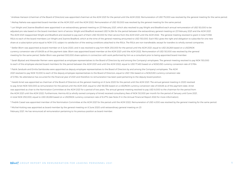1 Andreas Hansson (chairman of the Board of Directors) was appointed chairman at the AGM 2021 for the period until the AGM 2022. Remuneration of USD 75,000 was resolved by the general meeting for the same period. 2 Akshay Naheta was appointed board member at the AGM 2021 until the AGM 2022. Remuneration of USD 50,000 was resolved by the general meeting for the same period.

<sup>3</sup> Lori Wright and Joanne Bradford were appointed in an extraordinary general meeting on 23 February 2021, which also resolved to pay Wright and Bradford each annual remuneration of USD 50,000 to be adjusted pro rata based on the board members' term of service. Wright and Bradford received USD 14,384 for the period between the extraordinary general meeting on 23 February 2021 and the AGM 2021. The AGM 2021 reappointed Wright and Bradford and resolved to pay each of them USD 50,000 for their service from the AGM 2021 until the AGM 2022. The general meeting resolved to grant in total 11,556 RSUs to each of the board members Lori Wright and Joanne Bradford, which at the time of the general meeting amounted to USD 150,000. Each RSU gives the right and obligation to subscribe for one new share at a subscription price equal to NOK 0.10, subject to satisfaction of the vesting conditions attached to the RSUs. The RSUs are non-transferable, except for transfers to wholly owned companies.

4 Stefan Blom was appointed as board member on 8 June 2020, and it was resolved to pay him NOK 250,000 for the period until the AGM 2021, equal to USD 28,268 based on a USD/NOK currency conversion rate of 8.8438 as of the payment date. Blom was appointed board member at the AGM 2021 until the AGM 2022. Remuneration of USD 50,000 was resolved by the general meeting for the same period. Stefan Blom was granted 300,000 share options in connection with work performed by him as a consultant prior to being appointed board member.

<sup>5</sup> Sarah Blystad and Alexander Remen were appointed as employee representatives to the Board of Directors by and among the Company's employees. The general meeting resolved to pay NOK 150,000 to each of the employee-elected board members for the period between the AGM 2021 and until the AGM 2022, equal to USD 17,460 based on a NOK/USD currency conversion rate of 0.1164.

6 Patrik Jandusik and Emilia Samborska were appointed as deputy employee representatives to the Board of Directors by and among the Company's employees. The AGM 2021 resolved to pay NOK 10,000 to each of the deputy employee representatives to the Board of Directors, equal to USD 1,164 based on a NOK/USD currency conversion rate of 0.1164. No attendance has occurred for the financial year of 2021 and therefore no remuneration has been paid pertaining to the deputy board position.

7 Harald Arnet was appointed as chairman of the Board of Directors at the general meeting on 8 June 2020 for the period until the AGM 2021. The annual general meeting in 2020 resolved to pay Arnet NOK 500,000 as remuneration for the period until the AGM 2021, equal to USD 56,536 based on a USD/NOK currency conversion rate of 8.8438 as of the payment date. Arnet was appointed as chair to the Nomination Committee at the AGM 2021 for a period of two years. The annual general meeting resolved to pay USD 8,000 to the chairman for the period from the AGM 2021 until the AGM 2022. Furthermore, Hermia AS (a wholly owned company of Arnet) received consultancy fees of NOK 50,000 per month for the period of January until June 2021, in total NOK 250,000, equal to USD 28,268 based on a USD/NOK currency conversion rate of 8.4774 (see Note 21 in the Annual Financial Report 2022 for more information).

<sup>8</sup> Fredrik Cassel was appointed member of the Nomination Committee at the AGM 2021 for the period until the AGM 2022. Remuneration of USD 4,000 was resolved by the general meeting for the same period.

<sup>8</sup> Michiel Kotting was appointed as board member by the general meeting on 8 June 2020 until extraordinary general meeting on 23 February 2021. He has renounced all remuneration pertaining to his previous position as board member.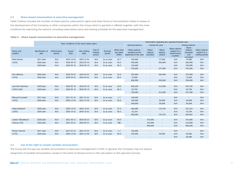#### **2.3 Share-based remuneration to executive management**

Table 3 below includes the number of share options, subscription rights and other forms of remuneration linked to shares or the development of the Company or other companies within the Group which is granted or offered, together with the main conditions for exercising the options, including subscription price and vesting schedule for the executive management.

#### **Table 3 — Share-based remuneration to executive management**

|                      | Main conditions of the share option plans |                       |               |                      |                             |                    |                                    | Information regarding the reported financial year        |                             |                            |                                                           |                                                |                                                 |  |
|----------------------|-------------------------------------------|-----------------------|---------------|----------------------|-----------------------------|--------------------|------------------------------------|----------------------------------------------------------|-----------------------------|----------------------------|-----------------------------------------------------------|------------------------------------------------|-------------------------------------------------|--|
|                      |                                           |                       |               |                      |                             |                    |                                    | Opening balance                                          | During the year             |                            |                                                           | Closing balance                                |                                                 |  |
| Name and<br>position | Specification of<br>plan                  | Performance<br>period | Award<br>date | Last vesting<br>date | End of<br>holding<br>period | Exercise<br>period | Strike price<br>per share<br>(NOK) | Share options<br>awarded at the<br>beginning of the year | Share<br>options<br>awarded | Share<br>options<br>vested | Share options<br>subject to a<br>performance<br>condition | Share<br>options<br>awarded<br>and<br>unvested | Share options<br>subject to a<br>holding period |  |
| Eilert Hanoa         | 2017 plan                                 | N/A                   | 2019 12 01    | 2023 12 01           | N/A                         | 2x pr year         | 16.7                               | 150,000                                                  | $\overline{\phantom{a}}$    | 37,500                     | N/A                                                       | 75,000                                         | N/A                                             |  |
| (CEO)                | 2020 plan                                 | N/A                   | 2020 05 15    | 2023 05 15           | N/A                         | 2x pr year         | 20.0                               | 450,000                                                  | $\overline{\phantom{a}}$    | 200,000                    | N/A                                                       | 250,000                                        | N/A                                             |  |
|                      | 2020 plan                                 | N/A                   | 2020 05 15    | 2024 05 15           | N/A                         | 2x pr year         | 58.3                               | 150,000                                                  | $\sim$                      | $\sim$                     | N/A                                                       | 150,000                                        | N/A                                             |  |
|                      |                                           |                       |               |                      |                             |                    |                                    | 750,000                                                  | $\overline{\phantom{a}}$    | 237,500                    | N/A                                                       | 475,000                                        | N/A                                             |  |
|                      |                                           |                       |               |                      |                             |                    |                                    |                                                          |                             |                            |                                                           |                                                |                                                 |  |
| Ken Østreng          | 2020 plan                                 | N/A                   | 2020 04 01    | 2023 04 01           | N/A                         | 2x pr year         | 16.0                               | 525,000                                                  | $\overline{\phantom{a}}$    | 250,000                    | N/A                                                       | 275,000                                        | N/A                                             |  |
| (CFO)                | 2020 plan                                 | N/A                   | 2020 04 01    | 2024 04 01           | N/A                         | 2x pr year         | 58.3                               | 75,000                                                   | $\overline{\phantom{a}}$    | $\overline{\phantom{a}}$   | N/A                                                       | 75,000                                         | N/A                                             |  |
|                      |                                           |                       |               |                      |                             |                    |                                    | 600,000                                                  | $\overline{\phantom{a}}$    | 250,000                    | N/A                                                       | 350,000                                        | N/A                                             |  |
|                      |                                           |                       |               |                      |                             |                    |                                    |                                                          |                             |                            |                                                           |                                                |                                                 |  |
| Lars Erik Grønntun   | 2020 plan                                 | N/A                   | 2020 05 15    | 2023 05 15           | N/A                         | 2x pr year         | 20.0                               | 656,250                                                  | $\overline{\phantom{a}}$    | 312,500                    | N/A                                                       | 343,750                                        | N/A                                             |  |
| (CMO-COO)            | 2020 plan                                 | N/A                   | 2020 05 15    | 2024 05 15           | N/A                         | 2x pr year         | 58.3                               | 93,750                                                   | $\overline{\phantom{a}}$    |                            | N/A                                                       | 93,750                                         | N/A                                             |  |
|                      |                                           |                       |               |                      |                             |                    |                                    | 750,000                                                  | $\overline{\phantom{a}}$    | 312,500                    | N/A                                                       | 437,500                                        | N/A                                             |  |
|                      |                                           |                       |               |                      |                             |                    |                                    |                                                          |                             |                            |                                                           |                                                |                                                 |  |
| Åsmund Furuseth      | 2017 plan                                 | N/A                   | 2017 01 01    | 2021 01 01           | N/A                         | 2x pr year         | 1.7                                | 100,000                                                  | $\overline{\phantom{a}}$    | $\sim$                     | N/A                                                       | $\sim$                                         | N/A                                             |  |
| (CPO)                | 2020 plan                                 | N/A                   | 2020 12 02    | 2022 12 02           | N/A                         | 2x pr year         | 56.0                               | 100,000                                                  | $\overline{\phantom{a}}$    | 50,000                     | N/A                                                       | 50,000                                         | N/A                                             |  |
|                      |                                           |                       |               |                      |                             |                    |                                    | 200,000                                                  | $\overline{\phantom{a}}$    | 50,000                     | N/A                                                       | 50,000                                         | N/A                                             |  |
| Mads Rebsdorf        | 2020 plan                                 | N/A                   | 2020 10 01    | 2023 10 01           | N/A                         | 2x pr year         | 37.0                               | 366,666                                                  | $\overline{\phantom{a}}$    | 133,333                    | N/A                                                       | 233,333                                        | N/A                                             |  |
| (CRO)                | 2020 plan                                 | N/A                   | 2020 10 01    | 2024 10 01           | N/A                         | 2x pr year         | 58.3                               | 33,334                                                   | $\overline{\phantom{a}}$    | $\overline{\phantom{a}}$   | N/A                                                       | 33,334                                         | N/A                                             |  |
|                      |                                           |                       |               |                      |                             |                    |                                    | 400,000                                                  | $\blacksquare$              | 133,333                    | N/A                                                       | 266,667                                        | N/A                                             |  |
|                      |                                           |                       |               |                      |                             |                    |                                    |                                                          |                             |                            |                                                           |                                                |                                                 |  |
| Jostein Håvaldsrud   | 2020 plan                                 | N/A                   | 2021 05 21    | 2024 05 21           | N/A                         | 2x pr year         | 59.0                               | $\sim$                                                   | 375,000                     | $\sim$                     | N/A                                                       | 375,000                                        | N/A                                             |  |
| (Group CTO)          | 2020 plan                                 | N/A                   | 2021 05 21    | 2025 05 21           | N/A                         | 2x pr year         | <b>TBD</b>                         | $\overline{\phantom{a}}$                                 | 125,000                     | $\overline{\phantom{a}}$   | N/A                                                       | 125,000                                        | N/A                                             |  |
|                      |                                           |                       |               |                      |                             |                    |                                    | $\sim$                                                   | 500,000                     | $\sim$                     | N/A                                                       | 500,000                                        | N/A                                             |  |
|                      |                                           |                       |               |                      |                             |                    |                                    |                                                          |                             |                            |                                                           |                                                |                                                 |  |
| Morten Versvik       | 2017 plan                                 | N/A                   | 2017 01 01    | 2021 01 01           | N/A                         | 2x pr year         | 1.7                                | 150,000                                                  | $\sim$                      | $\sim$                     | N/A                                                       | $\overline{\phantom{a}}$                       | N/A                                             |  |
| (CTO)                | 2020 plan                                 | N/A                   | 2020 12 02    | 2022 12 02           | N/A                         | 2x pr year         | 56.0                               | 100,000                                                  | $\overline{\phantom{a}}$    | 50,000                     | N/A                                                       | 50,000                                         | N/A                                             |  |
|                      |                                           |                       |               |                      |                             |                    |                                    | $\overline{\phantom{a}}$                                 | $\sim$                      |                            | N/A                                                       | 50,000                                         | N/A                                             |  |

#### **2.4 Use of the right to reclaim variable remuneration**

The Group did not pay any variable remuneration to executive management in 2021. In general, the Company may not require repayment of variable remuneration, except in the event of obvious errors in the calculation or the payment process.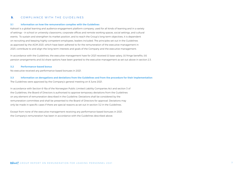# 3. COMPLIANCE WITH THE GUIDELINES

#### **3.1 Information on how the remuneration complies with the Guidelines**

Kahoot! is a global learning and audience engagement platform company, used for all kinds of learning and in a variety of settings – in school or university classrooms, corporate offices and remote working spaces, social settings, and cultural events. To sustain and strengthen its market position, and to reach the Group's long-term objectives, it is dependent on recruiting and keeping highly competent employees, leaders included. The principles set out in the Guidelines as approved by the AGM 2021, which have been adhered to for the remuneration of the executive management in 2021, contribute to and align the long-term interests and goals of the Company and the executive management.

In accordance with the Guidelines, the executive management have for 2021 received (i) base-salary, (ii) fringe benefits, (iii) pension arrangements and (iv) share options have been granted to the executive management as set out above in section 2.3.

#### **3.2 Performance-based bonus**

No executive received any performance-based bonuses in 2021.

**3.3 Information on derogations and deviations from the Guidelines and from the procedure for their implementation**  The Guidelines were approved by the Company's general meeting on 8 June 2021.

In accordance with Section 6-16a of the Norwegian Public Limited Liability Companies Act and section 3 of the Guidelines, the Board of Directors is authorised to approve temporary deviations from the Guidelines on any element of remuneration described in the Guideline. Deviations shall be considered by the remuneration committee and shall be presented to the Board of Directors for approval. Deviations may only be made in specific cases if there are special reasons as set out in section 3.2 in the Guidelines.

Except from none of the executive management receiving any performance-based bonuses in 2021, the Company's remuneration has been in accordance with the Guidelines described above.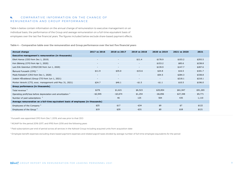# 4. COMPARATIVE INFORMATION ON THE CHANGE OF R E MUNE RATION AND GROUP PERFORMANCE

Table 4 below contain information on the annual change of remuneration to executive management on an individual basis, the performance of the Group and average remuneration on a full-time equivalent basis of employees over the last five financial years. The figures included below exclude share-based payment effects.

**Table 4 — Comparative table over the remuneration and Group performance over the last five financial years**

| Annual change                                                                    | 2017 vs 2016             | 2018 vs 2017             | 2019 vs 2018             | 2020 vs 2019 | 2021 vs 2020 | 2021     |  |  |  |  |
|----------------------------------------------------------------------------------|--------------------------|--------------------------|--------------------------|--------------|--------------|----------|--|--|--|--|
| Executive management's remuneration (in thousands)                               |                          |                          |                          |              |              |          |  |  |  |  |
| Eilert Hanoa (CEO from Dec 1, 2019)                                              | $\overline{\phantom{a}}$ | $\overline{\phantom{a}}$ | \$11.4                   | \$178.9      | \$103.2      | \$293.5  |  |  |  |  |
| Ken Østreng (CFO from Apr 1, 2020)                                               | $\overline{\phantom{a}}$ | $\sim$                   | $\overline{\phantom{a}}$ | \$153.2      | \$85.6       | \$238.8  |  |  |  |  |
| Lars Erik Grønntun (CMO/COO from Jun 1, 2020)                                    | $\overline{\phantom{0}}$ | $\sim$                   | $\sim$                   | \$139.9      | \$147.7      | \$287.6  |  |  |  |  |
| Åsmund Furuseth (CPO) $1$                                                        | \$11.9                   | \$35.0                   | $-$ \$15.6               | \$24.8       | \$16.5       | \$181.7  |  |  |  |  |
| Mads Rebsdorf (CRO from Dec 1, 2020)                                             | $\overline{\phantom{a}}$ | $\sim$                   | $\overline{\phantom{a}}$ | \$54.5       | \$284.3      | \$338.8  |  |  |  |  |
| Jostein Håvaldsrud (Group CTO from Jun 1, 2021)                                  | $\overline{\phantom{a}}$ | $\sim$                   | $\overline{\phantom{a}}$ | $\sim$       | \$218.1      | \$218.1  |  |  |  |  |
| Morten Versvik (CTO, exec. management until May 31, 2021)                        | \$24.7                   | \$46.1                   | $- $1.5$                 | $- $1.1$     | \$10.5       | \$196.0  |  |  |  |  |
| Group performance (in thousands)                                                 |                          |                          |                          |              |              |          |  |  |  |  |
| Total revenue <sup>2</sup>                                                       | \$276                    | \$1,621                  | \$6,523                  | \$20,854     | \$61,947     | \$91,265 |  |  |  |  |
| Operating profit/loss before depreciation and amortization <sup>2</sup>          | $-$ \$2,945              | -\$3,674                 | \$1,254                  | -\$6,856     | \$27,348     | \$9,771  |  |  |  |  |
| Number of paid subscriptions <sup>3</sup>                                        | $\overline{\phantom{a}}$ | 46                       | 125                      | 504          | 435          | 1,110    |  |  |  |  |
| Average remuneration on a full-time equivalent basis of employees (in thousands) |                          |                          |                          |              |              |          |  |  |  |  |
| Employees of the Company <sup>4</sup>                                            | \$25                     | \$17                     | $-$ \$34                 | \$9          | \$7          | \$122    |  |  |  |  |
| Employees of the Group <sup>4</sup>                                              | \$19                     | \$29                     | $-$ \$31                 | \$0          | \$18         | \$121    |  |  |  |  |

1 Furuseth was appointed CPO from Dec 1, 2019, and was prior to that CEO

2 NGAAP for the period 2016-2017, and IFRS from 2018 and the following years

<sup>3</sup> Paid subscriptions per end of period across all services in the Kahoot! Group including acquired units from acquisition date

4 Employee benefit expenses excluding share-based payment expenses and related payroll taxes divided by average number of full-time employee equivalents for the period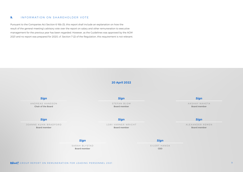# 5. INFORMATION ON SHAREHOLDER VOTE

Pursuant to the Companies Act Section 6-16b (3), this report shall include an explanation on how the result of the general meeting's advisory vote over the report on salary and other remuneration to executive management for the previous year has been regarded. However, as the Guidelines was approved by the AGM 2021 and no report was prepared for 2020, cf. Section 7 (2) of the Regulation, this requirement is not relevant.

# **20 April 2022**

AKSHAY NAHETA **Board member** LORI VARNER WRIGHT **Board member** SARAH BLYSTAD **Board member** EILERT HANOA **CEO** STEFAN BLOM **Board member** JOANNE KUHN BRADFORD **Board member** ALEXANDER REMEN **Board member** ANDREAS HANSSON **Chair of the Board** *Sign Sign Sign Sign Sign Sign Sign Sign*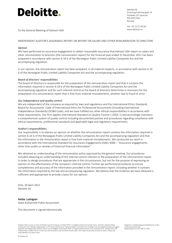

Deloitte AS Dronning Eufemias gate 14 Postboks 221 Sentrum NO-0103 Oslo Norway

Tel: +47 23 27 90 00

www.deloitte.no To the General Meeting of Kahoot! ASA

# INDEPENDENT AUDITOR'S ASSURANCE REPORT ON REPORT ON SALARY AND OTHER REMUNERATION TO DIRECTORS

# *Opinion*

We have performed an assurance engagement to obtain reasonable assurance that Kahoot! ASA report on salary and other remuneration to directors (the remuneration report) for the financial year ended 31 December 2021 has been prepared in accordance with section 6-16 b of the Norwegian Public Limited Liability Companies Act and the accompanying regulation.

In our opinion, the remuneration report has been prepared, in all material respects, in accordance with section 6-16 b of the Norwegian Public Limited Liability Companies Act and the accompanying regulation.

# *Board of directors' responsibilities*

The board of directors is responsible for the preparation of the remuneration report and that it contains the information required in section 6-16 b of the Norwegian Public Limited Liability Companies Act and the accompanying regulation and for such internal control as the board of directors determines is necessary for the preparation of a remuneration report that is free from material misstatements, whether due to fraud or error.

# *Our independence and quality control*

We are independent of the company as required by laws and regulations and the International Ethics Standards Board for Accountants' Code of International Ethics for Professional Accountants (including International Independence Standards) (IESBA Code), and we have fulfilled our other ethical responsibilities in accordance with these requirements. Our firm applies International Standard on Quality Control 1 (ISQC 1) and accordingly maintains a comprehensive system of quality control including documented policies and procedures regarding compliance with ethical requirements, professional standards and applicable legal and regulatory requirements.

#### *Auditor's responsibilities*

Our responsibility is to express an opinion on whether the remuneration report contains the information required in section 6-16 b of the Norwegian Public Limited Liability Companies Act and the accompanying regulation and that the information in the remuneration report is free from material misstatements. We conducted our work in accordance with the International Standard for Assurance Engagements (ISAE) 3000 – "Assurance engagements other than audits or reviews of historical financial information".

We obtained an understanding of the remuneration policy approved by the general meeting. Our procedures included obtaining an understanding of the internal control relevant to the preparation of the remuneration report in order to design procedures that are appropriate in the circumstances, but not for the purpose of expressing an opinion on the effectiveness of the company's internal control. Further we performed procedures to ensure completeness and accuracy of the information provided in the remuneration report, including whether it contains the information required by the law and accompanying regulation. We believe that the evidence we have obtained is sufficient and appropriate to provide a basis for our opinion.

Oslo, 20 April 2022 Deloitte AS

Reidar Ludvigsen State Authorised Public Accountant

This document is signed electronically.

Deloitte refers to one or more of Deloitte Touche Tohmatsu Limited ("DTTL"), its global network of member firms, and their related entities<br>(collectively, the "Deloitte organization"). DTTL (also referred to as "Deloitte G separate and independent entities, which cannot obligate or bind each other in respect of third parties. DTTL and each DTTL member firm and related entity is liable only for its own acts and omissions, and not those of each other. DTTL does not provide services to clients. Please see www.deloitte.no to learn more.

Registrert i Foretaksregisteret Medlemmer av Den norske Revisorforening Organisasjonsnummer: 980 211 282